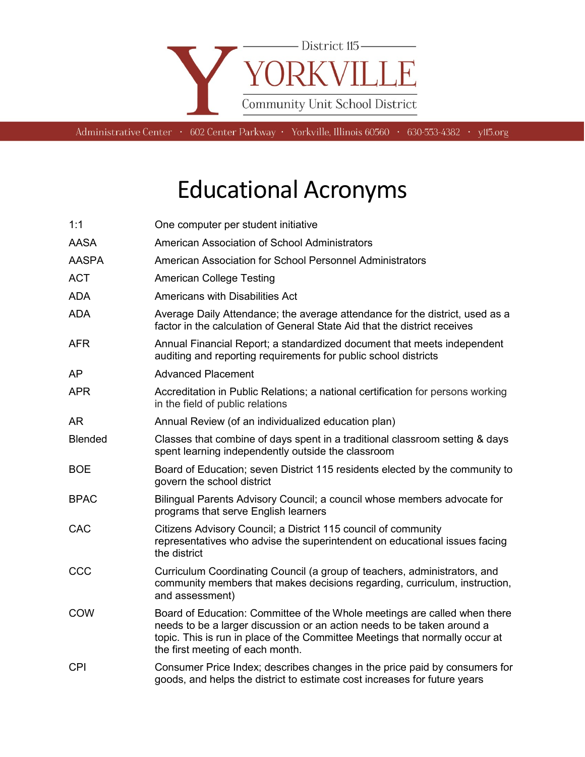

Administrative Center • 602 Center Parkway • Yorkville, Illinois 60560 • 630-553-4382 • y115.org

## Educational Acronyms

| 1:1            | One computer per student initiative                                                                                                                                                                                                                                      |
|----------------|--------------------------------------------------------------------------------------------------------------------------------------------------------------------------------------------------------------------------------------------------------------------------|
| <b>AASA</b>    | American Association of School Administrators                                                                                                                                                                                                                            |
| <b>AASPA</b>   | American Association for School Personnel Administrators                                                                                                                                                                                                                 |
| <b>ACT</b>     | <b>American College Testing</b>                                                                                                                                                                                                                                          |
| <b>ADA</b>     | <b>Americans with Disabilities Act</b>                                                                                                                                                                                                                                   |
| <b>ADA</b>     | Average Daily Attendance; the average attendance for the district, used as a<br>factor in the calculation of General State Aid that the district receives                                                                                                                |
| <b>AFR</b>     | Annual Financial Report; a standardized document that meets independent<br>auditing and reporting requirements for public school districts                                                                                                                               |
| AP             | <b>Advanced Placement</b>                                                                                                                                                                                                                                                |
| <b>APR</b>     | Accreditation in Public Relations; a national certification for persons working<br>in the field of public relations                                                                                                                                                      |
| AR.            | Annual Review (of an individualized education plan)                                                                                                                                                                                                                      |
| <b>Blended</b> | Classes that combine of days spent in a traditional classroom setting & days<br>spent learning independently outside the classroom                                                                                                                                       |
| <b>BOE</b>     | Board of Education; seven District 115 residents elected by the community to<br>govern the school district                                                                                                                                                               |
| <b>BPAC</b>    | Bilingual Parents Advisory Council; a council whose members advocate for<br>programs that serve English learners                                                                                                                                                         |
| CAC            | Citizens Advisory Council; a District 115 council of community<br>representatives who advise the superintendent on educational issues facing<br>the district                                                                                                             |
| CCC            | Curriculum Coordinating Council (a group of teachers, administrators, and<br>community members that makes decisions regarding, curriculum, instruction,<br>and assessment)                                                                                               |
| <b>COW</b>     | Board of Education: Committee of the Whole meetings are called when there<br>needs to be a larger discussion or an action needs to be taken around a<br>topic. This is run in place of the Committee Meetings that normally occur at<br>the first meeting of each month. |
| <b>CPI</b>     | Consumer Price Index; describes changes in the price paid by consumers for<br>goods, and helps the district to estimate cost increases for future years                                                                                                                  |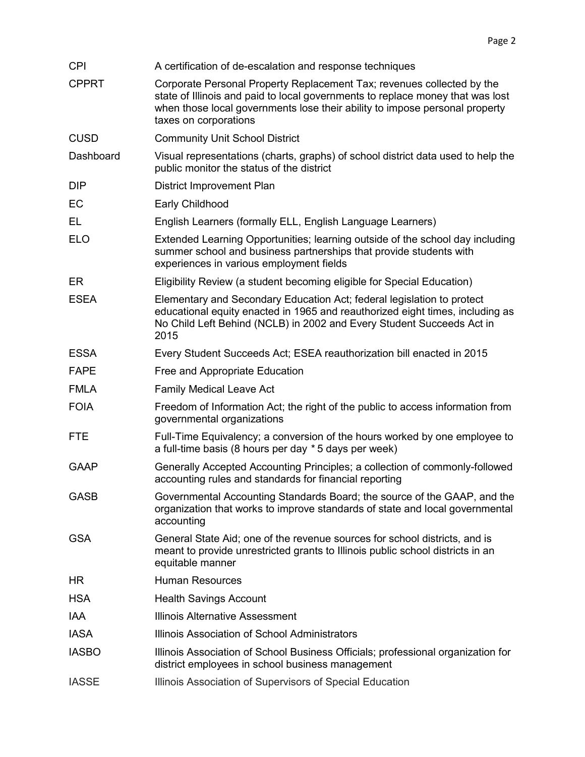| <b>CPI</b>   | A certification of de-escalation and response techniques                                                                                                                                                                                                         |
|--------------|------------------------------------------------------------------------------------------------------------------------------------------------------------------------------------------------------------------------------------------------------------------|
| <b>CPPRT</b> | Corporate Personal Property Replacement Tax; revenues collected by the<br>state of Illinois and paid to local governments to replace money that was lost<br>when those local governments lose their ability to impose personal property<br>taxes on corporations |
| <b>CUSD</b>  | <b>Community Unit School District</b>                                                                                                                                                                                                                            |
| Dashboard    | Visual representations (charts, graphs) of school district data used to help the<br>public monitor the status of the district                                                                                                                                    |
| <b>DIP</b>   | District Improvement Plan                                                                                                                                                                                                                                        |
| EC           | Early Childhood                                                                                                                                                                                                                                                  |
| EL           | English Learners (formally ELL, English Language Learners)                                                                                                                                                                                                       |
| <b>ELO</b>   | Extended Learning Opportunities; learning outside of the school day including<br>summer school and business partnerships that provide students with<br>experiences in various employment fields                                                                  |
| ER           | Eligibility Review (a student becoming eligible for Special Education)                                                                                                                                                                                           |
| <b>ESEA</b>  | Elementary and Secondary Education Act; federal legislation to protect<br>educational equity enacted in 1965 and reauthorized eight times, including as<br>No Child Left Behind (NCLB) in 2002 and Every Student Succeeds Act in<br>2015                         |
| <b>ESSA</b>  | Every Student Succeeds Act; ESEA reauthorization bill enacted in 2015                                                                                                                                                                                            |
| <b>FAPE</b>  | Free and Appropriate Education                                                                                                                                                                                                                                   |
| <b>FMLA</b>  | <b>Family Medical Leave Act</b>                                                                                                                                                                                                                                  |
| <b>FOIA</b>  | Freedom of Information Act; the right of the public to access information from<br>governmental organizations                                                                                                                                                     |
| <b>FTE</b>   | Full-Time Equivalency; a conversion of the hours worked by one employee to<br>a full-time basis (8 hours per day * 5 days per week)                                                                                                                              |
| <b>GAAP</b>  | Generally Accepted Accounting Principles; a collection of commonly-followed<br>accounting rules and standards for financial reporting                                                                                                                            |
| <b>GASB</b>  | Governmental Accounting Standards Board; the source of the GAAP, and the<br>organization that works to improve standards of state and local governmental<br>accounting                                                                                           |
| <b>GSA</b>   | General State Aid; one of the revenue sources for school districts, and is<br>meant to provide unrestricted grants to Illinois public school districts in an<br>equitable manner                                                                                 |
| HR           | <b>Human Resources</b>                                                                                                                                                                                                                                           |
| <b>HSA</b>   | <b>Health Savings Account</b>                                                                                                                                                                                                                                    |
| <b>IAA</b>   | <b>Illinois Alternative Assessment</b>                                                                                                                                                                                                                           |
| <b>IASA</b>  | Illinois Association of School Administrators                                                                                                                                                                                                                    |
| <b>IASBO</b> | Illinois Association of School Business Officials; professional organization for<br>district employees in school business management                                                                                                                             |
| <b>IASSE</b> | Illinois Association of Supervisors of Special Education                                                                                                                                                                                                         |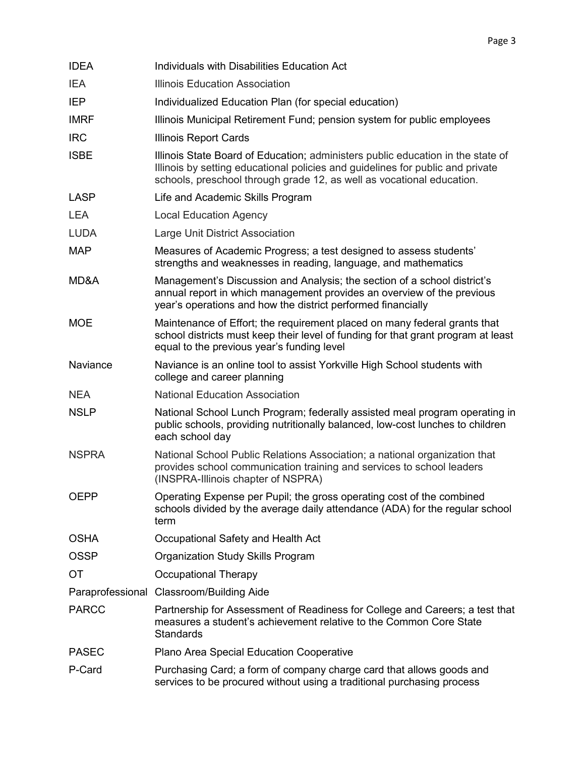| <b>IDEA</b>  | Individuals with Disabilities Education Act                                                                                                                                                                                                |
|--------------|--------------------------------------------------------------------------------------------------------------------------------------------------------------------------------------------------------------------------------------------|
| <b>IEA</b>   | <b>Illinois Education Association</b>                                                                                                                                                                                                      |
| <b>IEP</b>   | Individualized Education Plan (for special education)                                                                                                                                                                                      |
| <b>IMRF</b>  | Illinois Municipal Retirement Fund; pension system for public employees                                                                                                                                                                    |
| <b>IRC</b>   | Illinois Report Cards                                                                                                                                                                                                                      |
| <b>ISBE</b>  | Illinois State Board of Education; administers public education in the state of<br>Illinois by setting educational policies and guidelines for public and private<br>schools, preschool through grade 12, as well as vocational education. |
| <b>LASP</b>  | Life and Academic Skills Program                                                                                                                                                                                                           |
| <b>LEA</b>   | <b>Local Education Agency</b>                                                                                                                                                                                                              |
| <b>LUDA</b>  | Large Unit District Association                                                                                                                                                                                                            |
| <b>MAP</b>   | Measures of Academic Progress; a test designed to assess students'<br>strengths and weaknesses in reading, language, and mathematics                                                                                                       |
| MD&A         | Management's Discussion and Analysis; the section of a school district's<br>annual report in which management provides an overview of the previous<br>year's operations and how the district performed financially                         |
| <b>MOE</b>   | Maintenance of Effort; the requirement placed on many federal grants that<br>school districts must keep their level of funding for that grant program at least<br>equal to the previous year's funding level                               |
| Naviance     | Naviance is an online tool to assist Yorkville High School students with<br>college and career planning                                                                                                                                    |
| <b>NEA</b>   | <b>National Education Association</b>                                                                                                                                                                                                      |
| <b>NSLP</b>  | National School Lunch Program; federally assisted meal program operating in<br>public schools, providing nutritionally balanced, low-cost lunches to children<br>each school day                                                           |
| <b>NSPRA</b> | National School Public Relations Association; a national organization that<br>provides school communication training and services to school leaders<br>(INSPRA-Illinois chapter of NSPRA)                                                  |
| OEPP         | Operating Expense per Pupil; the gross operating cost of the combined<br>schools divided by the average daily attendance (ADA) for the regular school<br>term                                                                              |
| <b>OSHA</b>  | Occupational Safety and Health Act                                                                                                                                                                                                         |
| <b>OSSP</b>  | Organization Study Skills Program                                                                                                                                                                                                          |
| ОT           | <b>Occupational Therapy</b>                                                                                                                                                                                                                |
|              | Paraprofessional Classroom/Building Aide                                                                                                                                                                                                   |
| <b>PARCC</b> | Partnership for Assessment of Readiness for College and Careers; a test that<br>measures a student's achievement relative to the Common Core State<br><b>Standards</b>                                                                     |
| <b>PASEC</b> | Plano Area Special Education Cooperative                                                                                                                                                                                                   |
| P-Card       | Purchasing Card; a form of company charge card that allows goods and<br>services to be procured without using a traditional purchasing process                                                                                             |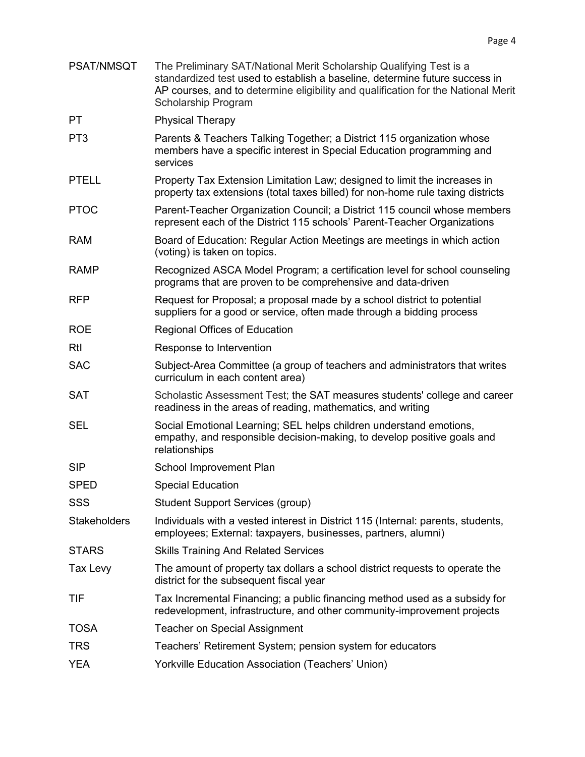- PSAT/NMSQT The Preliminary SAT/National Merit Scholarship Qualifying Test is a standardized test used to establish a baseline, determine future success in AP courses, and to determine eligibility and qualification for the National Merit Scholarship Program
- PT Physical Therapy
- PT3 Parents & Teachers Talking Together; a District 115 organization whose members have a specific interest in Special Education programming and services
- PTELL Property Tax Extension Limitation Law; designed to limit the increases in property tax extensions (total taxes billed) for non-home rule taxing districts
- PTOC Parent-Teacher Organization Council; a District 115 council whose members represent each of the District 115 schools' Parent-Teacher Organizations
- RAM Board of Education: Regular Action Meetings are meetings in which action (voting) is taken on topics.
- RAMP Recognized ASCA Model Program; a certification level for school counseling programs that are proven to be comprehensive and data-driven
- RFP Request for Proposal; a proposal made by a school district to potential suppliers for a good or service, often made through a bidding process
- ROE Regional Offices of Education
- RtI Response to Intervention
- SAC Subject-Area Committee (a group of teachers and administrators that writes curriculum in each content area)
- SAT Scholastic Assessment Test; the SAT measures students' college and career readiness in the areas of reading, mathematics, and writing
- SEL Social Emotional Learning; SEL helps children understand emotions, empathy, and responsible decision-making, to develop positive goals and relationships
- SIP School Improvement Plan
- SPED Special Education
- SSS Student Support Services (group)
- Stakeholders Individuals with a vested interest in District 115 (Internal: parents, students, employees; External: taxpayers, businesses, partners, alumni)
- STARS Skills Training And Related Services
- Tax Levy The amount of property tax dollars a school district requests to operate the district for the subsequent fiscal year
- TIF Tax Incremental Financing; a public financing method used as a subsidy for redevelopment, infrastructure, and other community-improvement projects
- TOSA Teacher on Special Assignment
- TRS Teachers' Retirement System; pension system for educators
- YEA Yorkville Education Association (Teachers' Union)